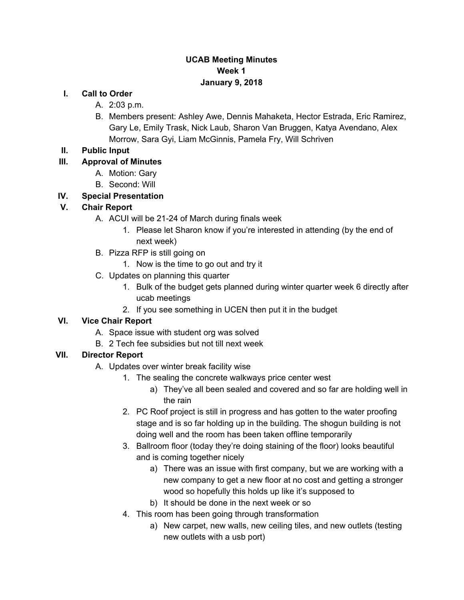#### **UCAB Meeting Minutes Week 1 January 9, 2018**

#### **I. Call to Order**

- A. 2:03 p.m.
- B. Members present: Ashley Awe, Dennis Mahaketa, Hector Estrada, Eric Ramirez, Gary Le, Emily Trask, Nick Laub, Sharon Van Bruggen, Katya Avendano, Alex Morrow, Sara Gyi, Liam McGinnis, Pamela Fry, Will Schriven

#### **II. Public Input**

#### **III. Approval of Minutes**

- A. Motion: Gary
- B. Second: Will

# **IV. Special Presentation**

#### **V. Chair Report**

- A. ACUI will be 21-24 of March during finals week
	- 1. Please let Sharon know if you're interested in attending (by the end of next week)
- B. Pizza RFP is still going on
	- 1. Now is the time to go out and try it
- C. Updates on planning this quarter
	- 1. Bulk of the budget gets planned during winter quarter week 6 directly after ucab meetings
	- 2. If you see something in UCEN then put it in the budget

# **VI. Vice Chair Report**

- A. Space issue with student org was solved
- B. 2 Tech fee subsidies but not till next week

# **VII. Director Report**

- A. Updates over winter break facility wise
	- 1. The sealing the concrete walkways price center west
		- a) They've all been sealed and covered and so far are holding well in the rain
	- 2. PC Roof project is still in progress and has gotten to the water proofing stage and is so far holding up in the building. The shogun building is not doing well and the room has been taken offline temporarily
	- 3. Ballroom floor (today they're doing staining of the floor) looks beautiful and is coming together nicely
		- a) There was an issue with first company, but we are working with a new company to get a new floor at no cost and getting a stronger wood so hopefully this holds up like it's supposed to
		- b) It should be done in the next week or so
	- 4. This room has been going through transformation
		- a) New carpet, new walls, new ceiling tiles, and new outlets (testing new outlets with a usb port)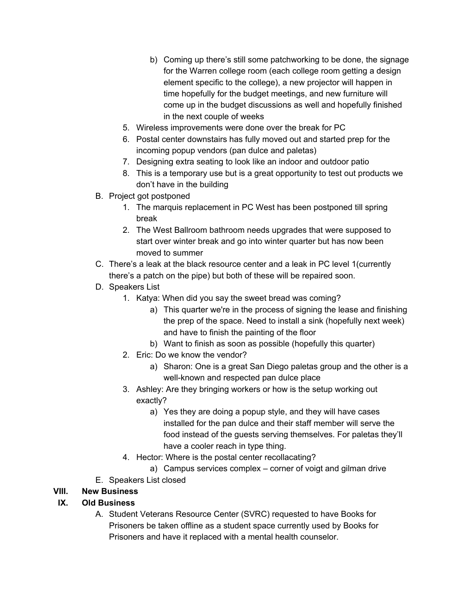- b) Coming up there's still some patchworking to be done, the signage for the Warren college room (each college room getting a design element specific to the college), a new projector will happen in time hopefully for the budget meetings, and new furniture will come up in the budget discussions as well and hopefully finished in the next couple of weeks
- 5. Wireless improvements were done over the break for PC
- 6. Postal center downstairs has fully moved out and started prep for the incoming popup vendors (pan dulce and paletas)
- 7. Designing extra seating to look like an indoor and outdoor patio
- 8. This is a temporary use but is a great opportunity to test out products we don't have in the building
- B. Project got postponed
	- 1. The marquis replacement in PC West has been postponed till spring break
	- 2. The West Ballroom bathroom needs upgrades that were supposed to start over winter break and go into winter quarter but has now been moved to summer
- C. There's a leak at the black resource center and a leak in PC level 1(currently there's a patch on the pipe) but both of these will be repaired soon.
- D. Speakers List
	- 1. Katya: When did you say the sweet bread was coming?
		- a) This quarter we're in the process of signing the lease and finishing the prep of the space. Need to install a sink (hopefully next week) and have to finish the painting of the floor
		- b) Want to finish as soon as possible (hopefully this quarter)
	- 2. Eric: Do we know the vendor?
		- a) Sharon: One is a great San Diego paletas group and the other is a well-known and respected pan dulce place
	- 3. Ashley: Are they bringing workers or how is the setup working out exactly?
		- a) Yes they are doing a popup style, and they will have cases installed for the pan dulce and their staff member will serve the food instead of the guests serving themselves. For paletas they'll have a cooler reach in type thing.
	- 4. Hector: Where is the postal center recollacating?
		- a) Campus services complex corner of voigt and gilman drive
- E. Speakers List closed

#### **VIII. New Business**

# **IX. Old Business**

A. Student Veterans Resource Center (SVRC) requested to have Books for Prisoners be taken offline as a student space currently used by Books for Prisoners and have it replaced with a mental health counselor.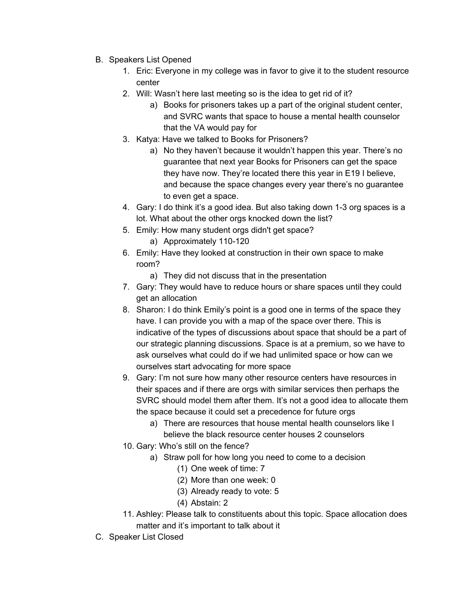- B. Speakers List Opened
	- 1. Eric: Everyone in my college was in favor to give it to the student resource center
	- 2. Will: Wasn't here last meeting so is the idea to get rid of it?
		- a) Books for prisoners takes up a part of the original student center, and SVRC wants that space to house a mental health counselor that the VA would pay for
	- 3. Katya: Have we talked to Books for Prisoners?
		- a) No they haven't because it wouldn't happen this year. There's no guarantee that next year Books for Prisoners can get the space they have now. They're located there this year in E19 I believe, and because the space changes every year there's no guarantee to even get a space.
	- 4. Gary: I do think it's a good idea. But also taking down 1-3 org spaces is a lot. What about the other orgs knocked down the list?
	- 5. Emily: How many student orgs didn't get space?
		- a) Approximately 110-120
	- 6. Emily: Have they looked at construction in their own space to make room?
		- a) They did not discuss that in the presentation
	- 7. Gary: They would have to reduce hours or share spaces until they could get an allocation
	- 8. Sharon: I do think Emily's point is a good one in terms of the space they have. I can provide you with a map of the space over there. This is indicative of the types of discussions about space that should be a part of our strategic planning discussions. Space is at a premium, so we have to ask ourselves what could do if we had unlimited space or how can we ourselves start advocating for more space
	- 9. Gary: I'm not sure how many other resource centers have resources in their spaces and if there are orgs with similar services then perhaps the SVRC should model them after them. It's not a good idea to allocate them the space because it could set a precedence for future orgs
		- a) There are resources that house mental health counselors like I believe the black resource center houses 2 counselors
	- 10. Gary: Who's still on the fence?
		- a) Straw poll for how long you need to come to a decision
			- (1) One week of time: 7
			- (2) More than one week: 0
			- (3) Already ready to vote: 5
			- (4) Abstain: 2
	- 11. Ashley: Please talk to constituents about this topic. Space allocation does matter and it's important to talk about it
- C. Speaker List Closed